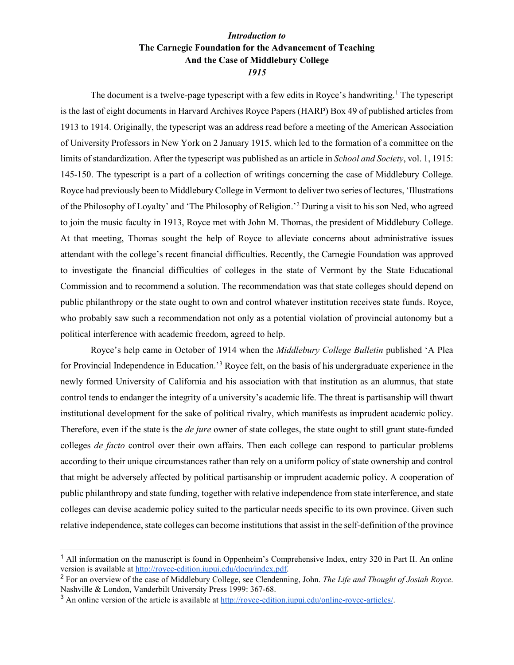## *Introduction to* **The Carnegie Foundation for the Advancement of Teaching And the Case of Middlebury College** *1915*

The document is a twelve-page typescript with a few edits in Royce's handwriting.<sup>[1](#page-0-0)</sup> The typescript is the last of eight documents in Harvard Archives Royce Papers (HARP) Box 49 of published articles from 1913 to 1914. Originally, the typescript was an address read before a meeting of the American Association of University Professors in New York on 2 January 1915, which led to the formation of a committee on the limits of standardization. After the typescript was published as an article in *School and Society*, vol. 1, 1915: 145-150. The typescript is a part of a collection of writings concerning the case of Middlebury College. Royce had previously been to Middlebury College in Vermont to deliver two series of lectures, 'Illustrations of the Philosophy of Loyalty' and 'The Philosophy of Religion.'[2](#page-0-1) During a visit to his son Ned, who agreed to join the music faculty in 1913, Royce met with John M. Thomas, the president of Middlebury College. At that meeting, Thomas sought the help of Royce to alleviate concerns about administrative issues attendant with the college's recent financial difficulties. Recently, the Carnegie Foundation was approved to investigate the financial difficulties of colleges in the state of Vermont by the State Educational Commission and to recommend a solution. The recommendation was that state colleges should depend on public philanthropy or the state ought to own and control whatever institution receives state funds. Royce, who probably saw such a recommendation not only as a potential violation of provincial autonomy but a political interference with academic freedom, agreed to help.

Royce's help came in October of 1914 when the *Middlebury College Bulletin* published 'A Plea for Provincial Independence in Education.'[3](#page-0-2) Royce felt, on the basis of his undergraduate experience in the newly formed University of California and his association with that institution as an alumnus, that state control tends to endanger the integrity of a university's academic life. The threat is partisanship will thwart institutional development for the sake of political rivalry, which manifests as imprudent academic policy. Therefore, even if the state is the *de jure* owner of state colleges, the state ought to still grant state-funded colleges *de facto* control over their own affairs. Then each college can respond to particular problems according to their unique circumstances rather than rely on a uniform policy of state ownership and control that might be adversely affected by political partisanship or imprudent academic policy. A cooperation of public philanthropy and state funding, together with relative independence from state interference, and state colleges can devise academic policy suited to the particular needs specific to its own province. Given such relative independence, state colleges can become institutions that assist in the self-definition of the province

<span id="page-0-0"></span> $<sup>1</sup>$  All information on the manuscript is found in Oppenheim's Comprehensive Index, entry 320 in Part II. An online</sup> version is available at [http://royce-edition.iupui.edu/docu/index.pdf.](http://royce-edition.iupui.edu/docu/index.pdf)

<span id="page-0-1"></span><sup>2</sup> For an overview of the case of Middlebury College, see Clendenning, John. *The Life and Thought of Josiah Royce*. Nashville & London, Vanderbilt University Press 1999: 367-68.

<span id="page-0-2"></span><sup>3</sup> An online version of the article is available at [http://royce-edition.iupui.edu/online-royce-articles/.](http://royce-edition.iupui.edu/online-royce-articles/)